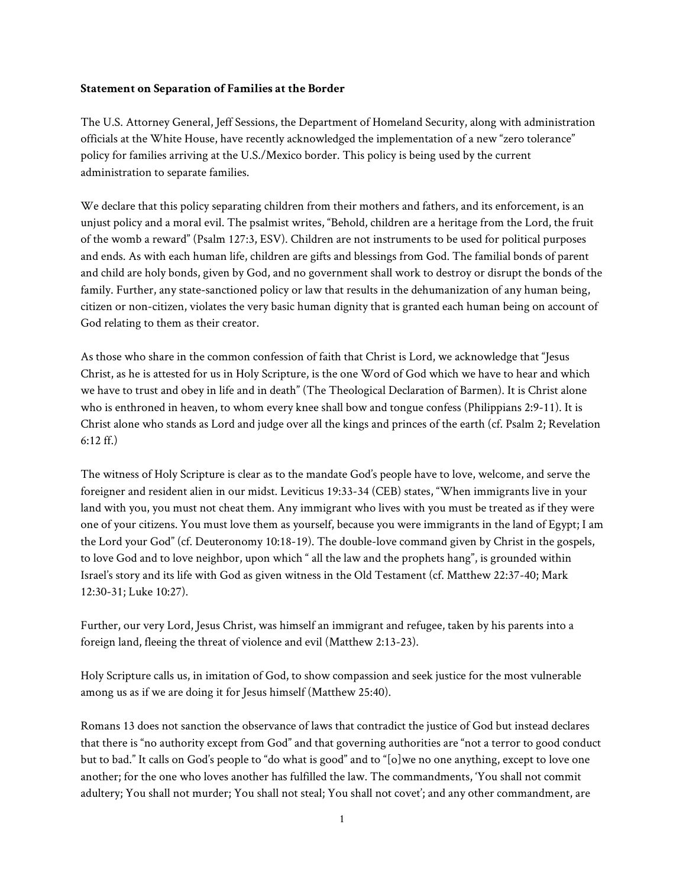## **Statement on Separation of Families at the Border**

The U.S. Attorney General, Jeff Sessions, the Department of Homeland Security, along with administration officials at the White House, have recently acknowledged the implementation of a new "zero tolerance" policy for families arriving at the U.S./Mexico border. This policy is being used by the current administration to separate families.

We declare that this policy separating children from their mothers and fathers, and its enforcement, is an unjust policy and a moral evil. The psalmist writes, "Behold, children are a heritage from the Lord, the fruit of the womb a reward" (Psalm 127:3, ESV). Children are not instruments to be used for political purposes and ends. As with each human life, children are gifts and blessings from God. The familial bonds of parent and child are holy bonds, given by God, and no government shall work to destroy or disrupt the bonds of the family. Further, any state-sanctioned policy or law that results in the dehumanization of any human being, citizen or non-citizen, violates the very basic human dignity that is granted each human being on account of God relating to them as their creator.

As those who share in the common confession of faith that Christ is Lord, we acknowledge that "Jesus Christ, as he is attested for us in Holy Scripture, is the one Word of God which we have to hear and which we have to trust and obey in life and in death" (The Theological Declaration of Barmen). It is Christ alone who is enthroned in heaven, to whom every knee shall bow and tongue confess (Philippians 2:9-11). It is Christ alone who stands as Lord and judge over all the kings and princes of the earth (cf. Psalm 2; Revelation 6:12 ff.)

The witness of Holy Scripture is clear as to the mandate God's people have to love, welcome, and serve the foreigner and resident alien in our midst. Leviticus 19:33-34 (CEB) states, "When immigrants live in your land with you, you must not cheat them. Any immigrant who lives with you must be treated as if they were one of your citizens. You must love them as yourself, because you were immigrants in the land of Egypt; I am the Lord your God" (cf. Deuteronomy 10:18-19). The double-love command given by Christ in the gospels, to love God and to love neighbor, upon which " all the law and the prophets hang", is grounded within Israel's story and its life with God as given witness in the Old Testament (cf. Matthew 22:37-40; Mark 12:30-31; Luke 10:27).

Further, our very Lord, Jesus Christ, was himself an immigrant and refugee, taken by his parents into a foreign land, fleeing the threat of violence and evil (Matthew 2:13-23).

Holy Scripture calls us, in imitation of God, to show compassion and seek justice for the most vulnerable among us as if we are doing it for Jesus himself (Matthew 25:40).

Romans 13 does not sanction the observance of laws that contradict the justice of God but instead declares that there is "no authority except from God" and that governing authorities are "not a terror to good conduct but to bad." It calls on God's people to "do what is good" and to "[o]we no one anything, except to love one another; for the one who loves another has fulfilled the law. The commandments, 'You shall not commit adultery; You shall not murder; You shall not steal; You shall not covet'; and any other commandment, are